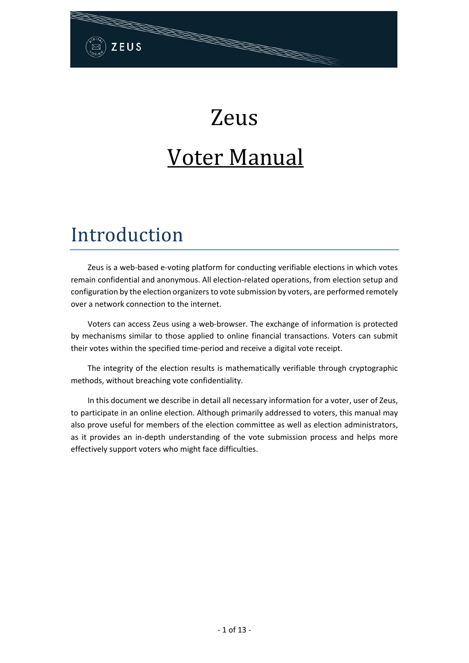# Zeus Voter Manual

# Introduction

ZEUS

Zeus is a web-based e-voting platform for conducting verifiable elections in which votes remain confidential and anonymous. All election-related operations, from election setup and configuration by the election organizers to vote submission by voters, are performed remotely over a network connection to the internet.

Voters can access Zeus using a web-browser. The exchange of information is protected by mechanisms similar to those applied to online financial transactions. Voters can submit their votes within the specified time-period and receive a digital vote receipt.

The integrity of the election results is mathematically verifiable through cryptographic methods, without breaching vote confidentiality.

In this document we describe in detail all necessary information for a voter, user of Zeus, to participate in an online election. Although primarily addressed to voters, this manual may also prove useful for members of the election committee as well as election administrators, as it provides an in-depth understanding of the vote submission process and helps more effectively support voters who might face difficulties.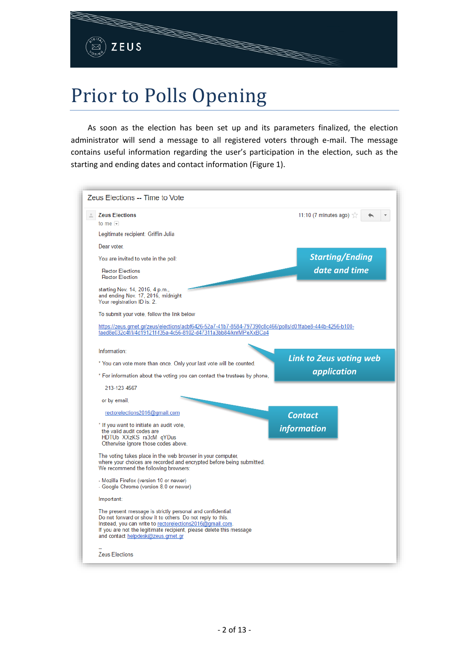# Prior to Polls Opening

As soon as the election has been set up and its parameters finalized, the election administrator will send a message to all registered voters through e-mail. The message contains useful information regarding the user's participation in the election, such as the starting and ending dates and contact information [\(Figure 1\)](#page-2-0).

| Zeus Elections -- Time to Vote                                                                                                                                                                                                                                                                    |                                  |  |
|---------------------------------------------------------------------------------------------------------------------------------------------------------------------------------------------------------------------------------------------------------------------------------------------------|----------------------------------|--|
| <b>Zeus Elections</b><br>to me $\boxed{\mathbf{v}}$                                                                                                                                                                                                                                               | 11:10 (7 minutes ago) $\sqrt{2}$ |  |
| Legitimate recipient: Griffin Julia                                                                                                                                                                                                                                                               |                                  |  |
| Dear voter.                                                                                                                                                                                                                                                                                       |                                  |  |
| You are invited to vote in the poll:                                                                                                                                                                                                                                                              | <b>Starting/Ending</b>           |  |
| <b>Rector Elections</b><br><b>Rector Election</b>                                                                                                                                                                                                                                                 | date and time                    |  |
| starting Nov. 14, 2016, 4 p.m.,<br>and ending Nov. 17, 2016, midnight<br>Your registration ID is: 2.                                                                                                                                                                                              |                                  |  |
| To submit your vote, follow the link below                                                                                                                                                                                                                                                        |                                  |  |
| https://zeus.grnet.gr/zeus/elections/acbf6426-52a7-41b7-8584-797390c8c466/polls/d01fabe8-444b-4256-b100-<br>faed8e032c4f/l/4d19121f-f35a-4c56-8102-d47311a3bb84/knrMPeXxBCa4                                                                                                                      |                                  |  |
| Information:                                                                                                                                                                                                                                                                                      |                                  |  |
| * You can vote more than once. Only your last vote will be counted.                                                                                                                                                                                                                               | <b>Link to Zeus voting web</b>   |  |
| * For information about the voting you can contact the trustees by phone,                                                                                                                                                                                                                         | application                      |  |
| 213-123 4567                                                                                                                                                                                                                                                                                      |                                  |  |
| or by email,                                                                                                                                                                                                                                                                                      |                                  |  |
| rectorelections2016@gmail.com                                                                                                                                                                                                                                                                     | <b>Contact</b>                   |  |
| * If you want to initiate an audit vote,<br>the valid audit codes are<br>HDTUb XXzKS ra3cM qYDus<br>Otherwise ignore those codes above.                                                                                                                                                           | <i>information</i>               |  |
| The voting takes place in the web browser in your computer.<br>where your choices are recorded and encrypted before being submitted.<br>We recommend the following browsers:                                                                                                                      |                                  |  |
| - Mozilla Firefox (version 10 or newer)<br>- Google Chrome (version 8.0 or newer)                                                                                                                                                                                                                 |                                  |  |
|                                                                                                                                                                                                                                                                                                   |                                  |  |
| Important:                                                                                                                                                                                                                                                                                        |                                  |  |
| The present message is strictly personal and confidential.<br>Do not forward or show it to others. Do not reply to this.<br>Instead, you can write to rectorelections2016@gmail.com.<br>If you are not the legitimate recipient, please delete this message<br>and contact helpdesk@zeus.grnet.gr |                                  |  |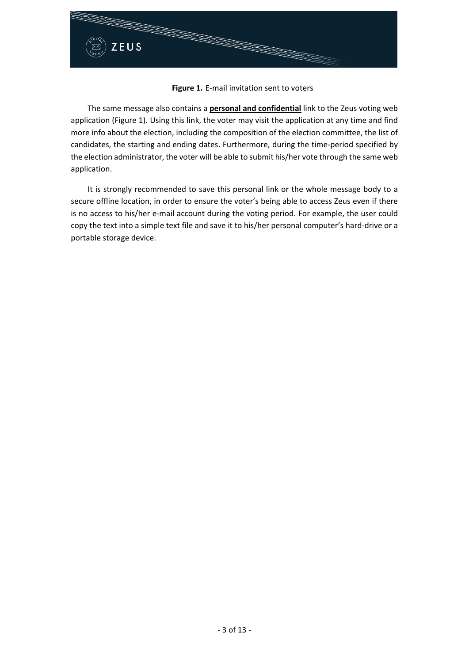

### **Figure 1.** E-mail invitation sent to voters

<span id="page-2-0"></span>The same message also contains a **personal and confidential** link to the Zeus voting web application [\(Figure 1\)](#page-2-0). Using this link, the voter may visit the application at any time and find more info about the election, including the composition of the election committee, the list of candidates, the starting and ending dates. Furthermore, during the time-period specified by the election administrator, the voter will be able to submit his/her vote through the same web application.

It is strongly recommended to save this personal link or the whole message body to a secure offline location, in order to ensure the voter's being able to access Zeus even if there is no access to his/her e-mail account during the voting period. For example, the user could copy the text into a simple text file and save it to his/her personal computer's hard-drive or a portable storage device.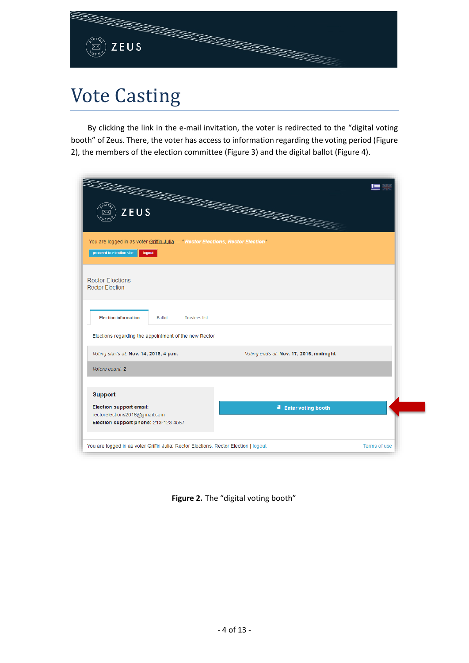

# Vote Casting

By clicking the link in the e-mail invitation, the voter is redirected to the "digital voting booth" of Zeus. There, the voter has access to information regarding the voting period [\(Figure](#page-3-0)  [2\)](#page-3-0), the members of the election committee [\(Figure 3\)](#page-4-0) and the digital ballot [\(Figure 4\)](#page-4-1).

| <b>The Second Second</b><br>ZEUS                                                                 |                                                                                                | <b>RECEIVED BY ANN</b>                  |  |
|--------------------------------------------------------------------------------------------------|------------------------------------------------------------------------------------------------|-----------------------------------------|--|
| proceed to election site                                                                         | You are logged in as voter Griffin Julia - " Rector Elections, Rector Election"<br>logout      |                                         |  |
| <b>Rector Elections</b><br><b>Rector Election</b>                                                |                                                                                                |                                         |  |
| <b>Election information</b>                                                                      | <b>Ballot</b><br><b>Trustees list</b><br>Elections regarding the appointment of the new Rector |                                         |  |
| Voting starts at: Nov. 14, 2016, 4 p.m.                                                          |                                                                                                | Voting ends at: Nov. 17, 2016, midnight |  |
| Voters count: 2                                                                                  |                                                                                                |                                         |  |
|                                                                                                  |                                                                                                |                                         |  |
| <b>Support</b>                                                                                   |                                                                                                |                                         |  |
| Election support email:<br>rectorelections2016@gmail.com<br>Election support phone: 213-123 4567 |                                                                                                | <b>il</b> Enter voting booth            |  |

<span id="page-3-0"></span>**Figure 2.** The "digital voting booth"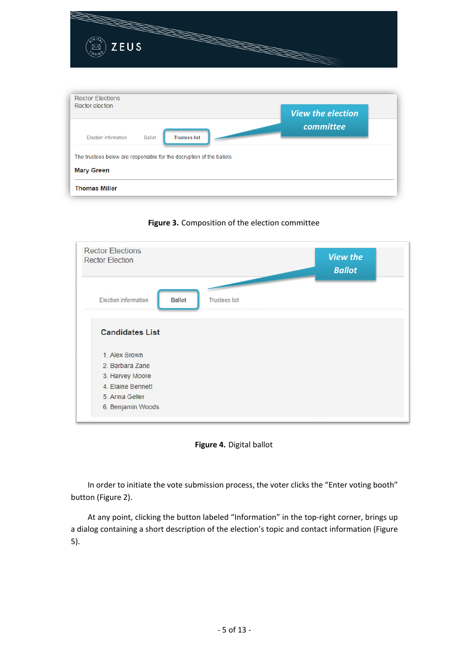

<span id="page-4-0"></span>

**Figure 3.** Composition of the election committee



<span id="page-4-1"></span>In order to initiate the vote submission process, the voter clicks the "Enter voting booth" button [\(Figure 2\)](#page-3-0).

At any point, clicking the button labeled "Information" in the top-right corner, brings up a dialog containing a short description of the election's topic and contact information [\(Figure](#page-5-0)  [5\)](#page-5-0).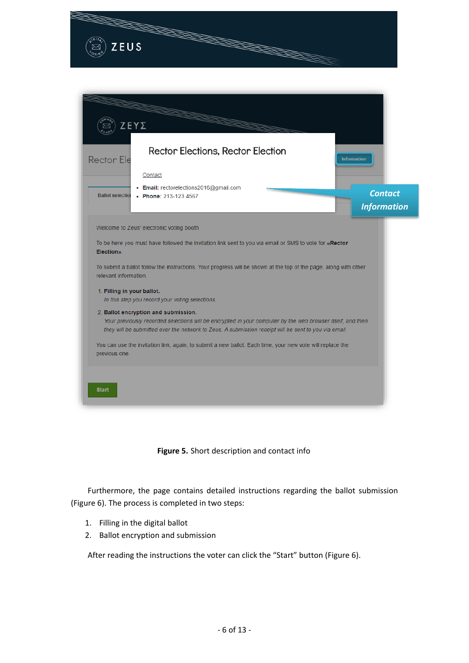

*Information*

Welcome to Zeus' electronic voting booth

To be here you must have followed the invitation link sent to you via email or SMS to vote for «Rector Election».

To submit a ballot follow the instructions. Your progress will be shown at the top of the page, along with other relevant information.

1. Filling in your ballot.

In this step you record your voting selections.

2. Ballot encryption and submission. Your previously recorded selections will be encrypted in your computer by the web browser itself, and then they will be submitted over the network to Zeus. A submission receipt will be sent to you via email.

You can use the invitation link, again, to submit a new ballot. Each time, your new vote will replace the previous one.





<span id="page-5-0"></span>Furthermore, the page contains detailed instructions regarding the ballot submission [\(Figure 6\)](#page-6-0). The process is completed in two steps:

- 1. Filling in the digital ballot
- 2. Ballot encryption and submission

After reading the instructions the voter can click the "Start" button [\(Figure 6\)](#page-6-0).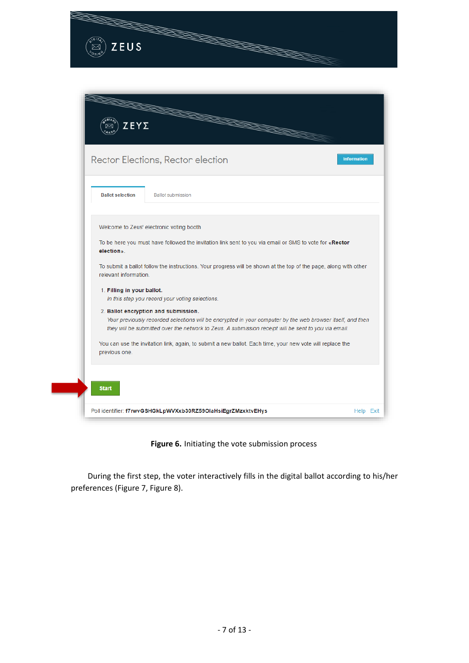

|  | Welcome to Zeus' electronic voting booth |  |
|--|------------------------------------------|--|

To be here you must have followed the invitation link sent to you via email or SMS to vote for «Rector election»

To submit a ballot follow the instructions. Your progress will be shown at the top of the page, along with other relevant information.

1. Filling in your ballot.

In this step you record your voting selections.

#### 2. Ballot encryption and submission.

Your previously recorded selections will be encrypted in your computer by the web browser itself, and then they will be submitted over the network to Zeus. A submission receipt will be sent to you via email.

You can use the invitation link, again, to submit a new ballot. Each time, your new vote will replace the previous one.

# **Start** Poll identifier: f7rwvGSHGkLpWVXxb30RZ59OlaHsiEgrZMzxktvEHys Help Exit

### **Figure 6.** Initiating the vote submission process

<span id="page-6-0"></span>During the first step, the voter interactively fills in the digital ballot according to his/her preferences [\(Figure 7,](#page-7-0) [Figure 8\)](#page-8-0).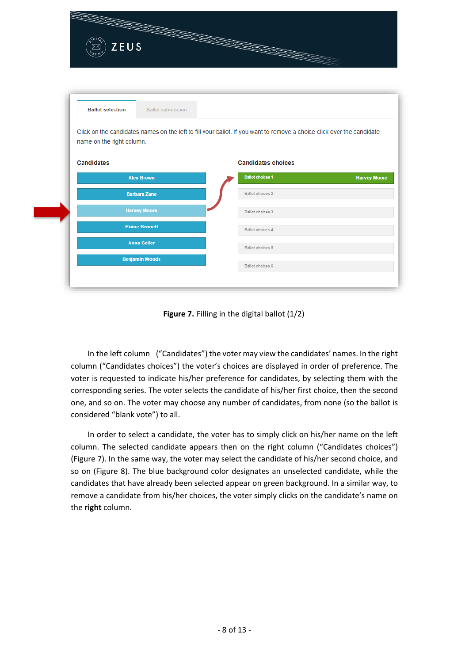|                           | <b>Contractor Contractor</b> |                                                                                                                        |                     |
|---------------------------|------------------------------|------------------------------------------------------------------------------------------------------------------------|---------------------|
| ZEUS<br>↣                 |                              | <b>RECEIVED BY ANN</b>                                                                                                 |                     |
|                           |                              |                                                                                                                        |                     |
|                           |                              |                                                                                                                        |                     |
|                           |                              |                                                                                                                        |                     |
|                           |                              |                                                                                                                        |                     |
| <b>Ballot selection</b>   | <b>Ballot submission</b>     |                                                                                                                        |                     |
|                           |                              |                                                                                                                        |                     |
|                           |                              |                                                                                                                        |                     |
|                           |                              |                                                                                                                        |                     |
|                           |                              | Click on the candidates names on the left to fill your ballot. If you want to remove a choice click over the candidate |                     |
| name on the right column. |                              |                                                                                                                        |                     |
|                           |                              |                                                                                                                        |                     |
| <b>Candidates</b>         |                              | <b>Candidates choices</b>                                                                                              |                     |
|                           | <b>Alex Brown</b>            | <b>Ballot choices 1</b>                                                                                                | <b>Harvey Moore</b> |
|                           | <b>Barbara Zane</b>          | Ballot choices 2                                                                                                       |                     |
|                           |                              |                                                                                                                        |                     |
|                           | <b>Harvey Moore</b>          | Ballot choices 3                                                                                                       |                     |
|                           | <b>Elaine Bennett</b>        | Ballot choices 4                                                                                                       |                     |
|                           |                              |                                                                                                                        |                     |
|                           | <b>Anna Geller</b>           | Ballot choices 5                                                                                                       |                     |
|                           | <b>Benjamin Woods</b>        | Ballot choices 6                                                                                                       |                     |

**Figure 7.** Filling in the digital ballot (1/2)

<span id="page-7-0"></span>In the left column ("Candidates") the voter may view the candidates' names. In the right column ("Candidates choices") the voter's choices are displayed in order of preference. The voter is requested to indicate his/her preference for candidates, by selecting them with the corresponding series. The voter selects the candidate of his/her first choice, then the second one, and so on. The voter may choose any number of candidates, from none (so the ballot is considered "blank vote") to all.

In order to select a candidate, the voter has to simply click on his/her name on the left column. The selected candidate appears then on the right column ("Candidates choices") [\(Figure 7\)](#page-7-0). In the same way, the voter may select the candidate of his/her second choice, and so on [\(Figure 8\)](#page-8-0). The blue background color designates an unselected candidate, while the candidates that have already been selected appear on green background. In a similar way, to remove a candidate from his/her choices, the voter simply clicks on the candidate's name on the **right** column.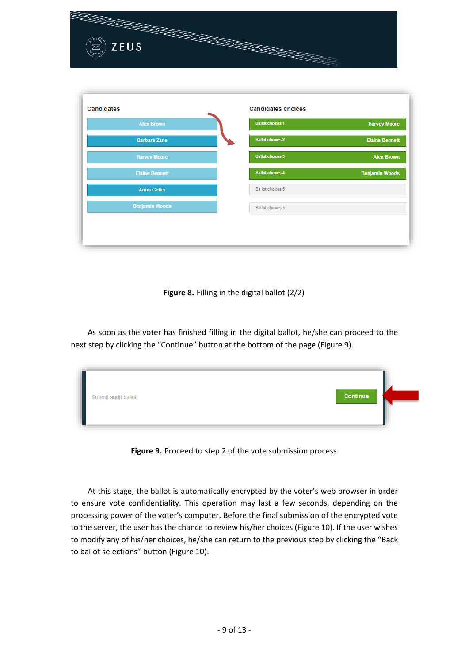| $\overline{G}$                 |                                                                  |                       |
|--------------------------------|------------------------------------------------------------------|-----------------------|
| ZEUS<br>Ø<br>$\sigma_{\rm{H}}$ | <b>PARTY CONTROLLER DESCRIPTION OF REAL PROPERTY AND INCOME.</b> |                       |
|                                |                                                                  |                       |
|                                |                                                                  |                       |
| <b>Candidates</b>              | <b>Candidates choices</b>                                        |                       |
| <b>Alex Brown</b>              | <b>Ballot choices 1</b>                                          | <b>Harvey Moore</b>   |
| <b>Barbara Zane</b>            | <b>Ballot choices 2</b>                                          | <b>Elaine Bennett</b> |
| <b>Harvey Moore</b>            | <b>Ballot choices 3</b>                                          | <b>Alex Brown</b>     |
| <b>Elaine Bennett</b>          | <b>Ballot choices 4</b>                                          | <b>Benjamin Woods</b> |
| <b>Anna Geller</b>             | Ballot choices 5                                                 |                       |
| <b>Benjamin Woods</b>          | Ballot choices 6                                                 |                       |
|                                |                                                                  |                       |

**Figure 8.** Filling in the digital ballot (2/2)

<span id="page-8-0"></span>As soon as the voter has finished filling in the digital ballot, he/she can proceed to the next step by clicking the "Continue" button at the bottom of the page [\(Figure 9\)](#page-8-1).

| Submit audit ballot | <b>Continue</b> |
|---------------------|-----------------|
|---------------------|-----------------|

**Figure 9.** Proceed to step 2 of the vote submission process

<span id="page-8-1"></span>At this stage, the ballot is automatically encrypted by the voter's web browser in order to ensure vote confidentiality. This operation may last a few seconds, depending on the processing power of the voter's computer. Before the final submission of the encrypted vote to the server, the user has the chance to review his/her choices [\(Figure 10\)](#page-9-0). If the user wishes to modify any of his/her choices, he/she can return to the previous step by clicking the "Back to ballot selections" button [\(Figure 10\)](#page-9-0).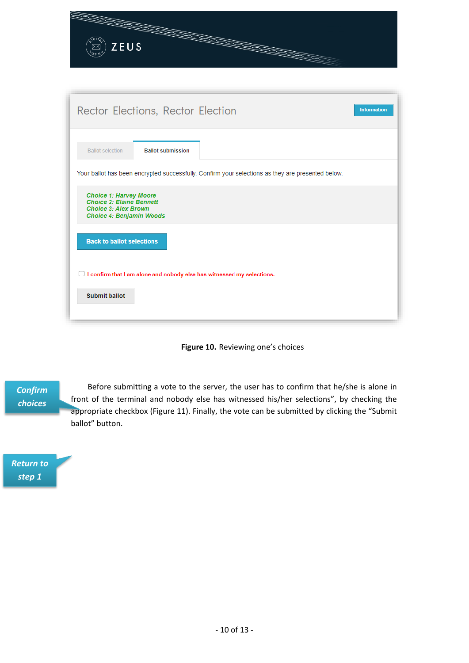| $\left(\begin{matrix} 1 & 0 \\ 0 & 0 \end{matrix}\right)$ ZEUS |  |
|----------------------------------------------------------------|--|

| Rector Elections, Rector Election                                                                                                  | <b>Information</b> |
|------------------------------------------------------------------------------------------------------------------------------------|--------------------|
| <b>Ballot submission</b><br><b>Ballot selection</b>                                                                                |                    |
| Your ballot has been encrypted successfully. Confirm your selections as they are presented below.                                  |                    |
| <b>Choice 1: Harvey Moore</b><br><b>Choice 2: Elaine Bennett</b><br><b>Choice 3: Alex Brown</b><br><b>Choice 4: Benjamin Woods</b> |                    |
| <b>Back to ballot selections</b>                                                                                                   |                    |
| I confirm that I am alone and nobody else has witnessed my selections.                                                             |                    |
| <b>Submit ballot</b>                                                                                                               |                    |

## **Figure 10.** Reviewing one's choices

*Confirm choices*

<span id="page-9-0"></span>Before submitting a vote to the server, the user has to confirm that he/she is alone in front of the terminal and nobody else has witnessed his/her selections", by checking the appropriate checkbox [\(Figure 11\)](#page-10-0). Finally, the vote can be submitted by clicking the "Submit ballot" button.

*Return to step 1*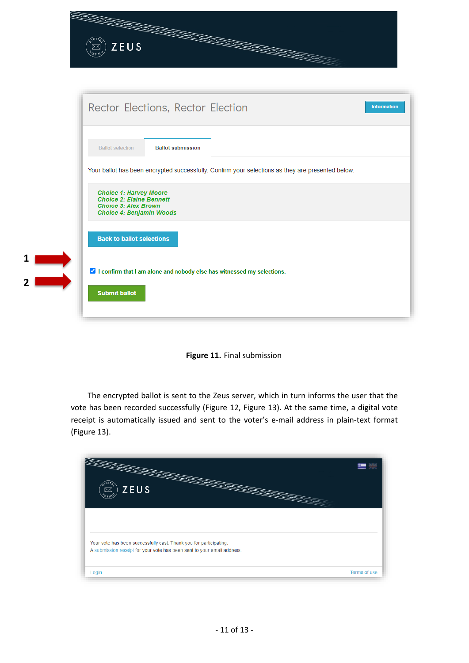|                | ZEUS<br><b>RECEIVED BY ANN</b>                                                                                                                           |  |
|----------------|----------------------------------------------------------------------------------------------------------------------------------------------------------|--|
|                | Rector Elections, Rector Election<br><b>Information</b>                                                                                                  |  |
|                | <b>Ballot submission</b><br><b>Ballot selection</b><br>Your ballot has been encrypted successfully. Confirm your selections as they are presented below. |  |
|                | <b>Choice 1: Harvey Moore</b><br><b>Choice 2: Elaine Bennett</b><br><b>Choice 3: Alex Brown</b><br>Choice 4: Benjamin Woods                              |  |
| 1              | <b>Back to ballot selections</b>                                                                                                                         |  |
| $\overline{2}$ | ✔ I confirm that I am alone and nobody else has witnessed my selections.<br><b>Submit ballot</b>                                                         |  |



<span id="page-10-0"></span>The encrypted ballot is sent to the Zeus server, which in turn informs the user that the vote has been recorded successfully [\(Figure 12,](#page-11-0) [Figure 13\)](#page-11-1). At the same time, a digital vote receipt is automatically issued and sent to the voter's e-mail address in plain-text format [\(Figure 13\)](#page-11-1).

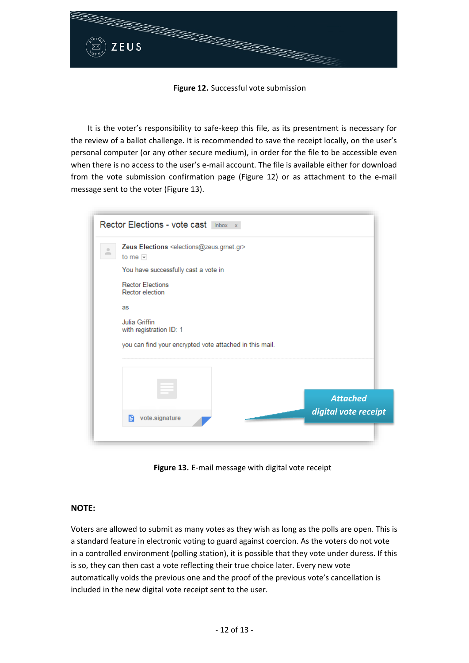

### **Figure 12.** Successful vote submission

<span id="page-11-0"></span>It is the voter's responsibility to safe-keep this file, as its presentment is necessary for the review of a ballot challenge. It is recommended to save the receipt locally, on the user's personal computer (or any other secure medium), in order for the file to be accessible even when there is no access to the user's e-mail account. The file is available either for download from the vote submission confirmation page [\(Figure 12\)](#page-11-0) or as attachment to the e-mail message sent to the voter [\(Figure 13\)](#page-11-1).

| Rector Elections - vote cast Inbox x                                                                                                           |                                         |
|------------------------------------------------------------------------------------------------------------------------------------------------|-----------------------------------------|
| Zeus Elections <elections@zeus.grnet.gr><br/>۰<br/><math>\equiv</math><br/>to me <math>\overline{\phantom{a}}</math></elections@zeus.grnet.gr> |                                         |
| You have successfully cast a vote in                                                                                                           |                                         |
| <b>Rector Elections</b><br><b>Rector election</b>                                                                                              |                                         |
| as                                                                                                                                             |                                         |
| Julia Griffin<br>with registration ID: 1                                                                                                       |                                         |
| you can find your encrypted vote attached in this mail.                                                                                        |                                         |
|                                                                                                                                                |                                         |
|                                                                                                                                                |                                         |
|                                                                                                                                                | <b>Attached</b><br>digital vote receipt |
| vote.signature<br>圄                                                                                                                            |                                         |
|                                                                                                                                                |                                         |

**Figure 13.** E-mail message with digital vote receipt

## <span id="page-11-1"></span>**NOTE:**

Voters are allowed to submit as many votes as they wish as long as the polls are open. This is a standard feature in electronic voting to guard against coercion. As the voters do not vote in a controlled environment (polling station), it is possible that they vote under duress. If this is so, they can then cast a vote reflecting their true choice later. Every new vote automatically voids the previous one and the proof of the previous vote's cancellation is included in the new digital vote receipt sent to the user.